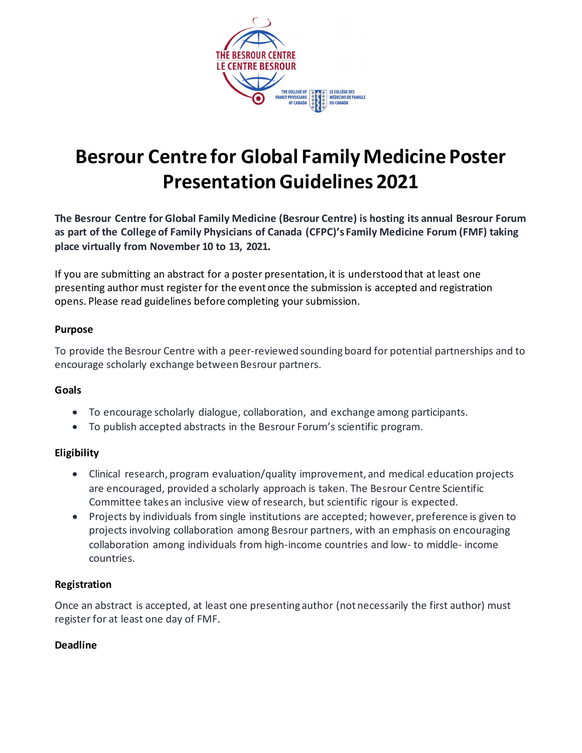

# **Besrour Centre for Global Family Medicine Poster Presentation Guidelines 2021**

**The Besrour Centre for Global Family Medicine (Besrour Centre) is hosting its annual Besrour Forum as part of the College of Family Physicians of Canada (CFPC)'s Family Medicine Forum (FMF) taking place virtually from November 10 to 13, 2021.**

If you are submitting an abstract for a poster presentation, it is understood that at least one presenting author must register for the event once the submission is accepted and registration opens. Please read guidelines before completing your submission.

#### **Purpose**

To provide the Besrour Centre with a peer-reviewed sounding board for potential partnerships and to encourage scholarly exchange between Besrour partners.

#### **Goals**

- To encourage scholarly dialogue, collaboration, and exchange among participants.
- To publish accepted abstracts in the Besrour Forum's scientific program.

#### **Eligibility**

- Clinical research, program evaluation/quality improvement, and medical education projects are encouraged, provided a scholarly approach is taken. The Besrour Centre Scientific Committee takes an inclusive view of research, but scientific rigour is expected.
- Projects by individuals from single institutions are accepted; however, preference is given to projects involving collaboration among Besrour partners, with an emphasis on encouraging collaboration among individuals from high-income countries and low- to middle- income countries.

#### **Registration**

Once an abstract is accepted, at least one presenting author (not necessarily the first author) must register for at least one day of FMF.

#### **Deadline**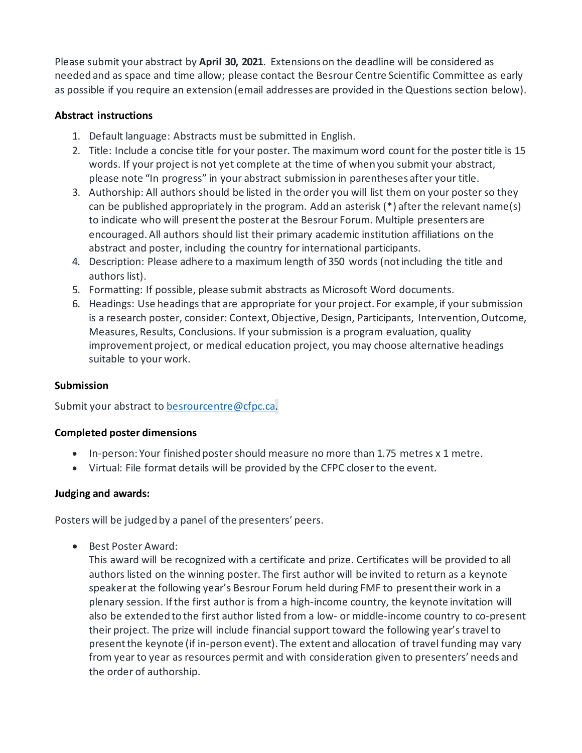Please submit your abstract by **April 30, 2021**. Extensions on the deadline will be considered as needed and as space and time allow; please contact the Besrour Centre Scientific Committee as early as possible if you require an extension (email addresses are provided in the Questions section below).

### **Abstract instructions**

- 1. Default language: Abstracts must be submitted in English.
- 2. Title: Include a concise title for your poster. The maximum word count for the poster title is 15 words. If your project is not yet complete at the time of when you submit your abstract, please note "In progress" in your abstract submission in parentheses after your title.
- 3. Authorship: All authors should be listed in the order you will list them on your poster so they can be published appropriately in the program. Add an asterisk (\*) after the relevant name(s) to indicate who will present the poster at the Besrour Forum. Multiple presenters are encouraged. All authors should list their primary academic institution affiliations on the abstract and poster, including the country for international participants.
- 4. Description: Please adhere to a maximum length of 350 words (not including the title and authors list).
- 5. Formatting: If possible, please submit abstracts as Microsoft Word documents.
- 6. Headings: Use headings that are appropriate for your project. For example, if your submission is a research poster, consider: Context, Objective, Design, Participants, Intervention, Outcome, Measures, Results, Conclusions. If your submission is a program evaluation, quality improvement project, or medical education project, you may choose alternative headings suitable to your work.

#### **Submission**

Submit your abstract to [besrourcentre@cfpc.ca.](mailto:besrourcentre@cfpc.ca)

#### **Completed poster dimensions**

- In-person: Your finished poster should measure no more than 1.75 metres x 1 metre.
- Virtual: File format details will be provided by the CFPC closer to the event.

#### **Judging and awards:**

Posters will be judged by a panel of the presenters' peers.

• Best Poster Award:

This award will be recognized with a certificate and prize. Certificates will be provided to all authors listed on the winning poster. The first author will be invited to return as a keynote speaker at the following year's Besrour Forum held during FMF to present their work in a plenary session. If the first author is from a high-income country, the keynote invitation will also be extended to the first author listed from a low- or middle-income country to co-present their project. The prize will include financial support toward the following year's travel to present the keynote (if in-person event). The extent and allocation of travel funding may vary from year to year as resources permit and with consideration given to presenters' needs and the order of authorship.